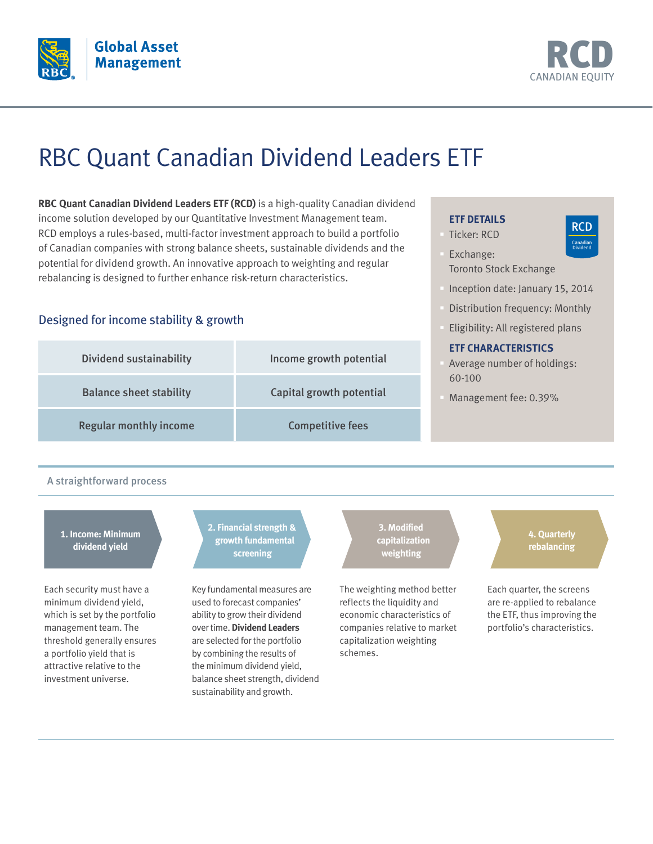



RCD Canadian Dividend

# RBC Quant Canadian Dividend Leaders ETF

**RBC Quant Canadian Dividend Leaders ETF (RCD)** is a high-quality Canadian dividend income solution developed by our Quantitative Investment Management team. RCD employs a rules-based, multi-factor investment approach to build a portfolio of Canadian companies with strong balance sheets, sustainable dividends and the potential for dividend growth. An innovative approach to weighting and regular rebalancing is designed to further enhance risk-return characteristics.

### Designed for income stability & growth

| <b>Dividend sustainability</b> | Income growth potential  | <b>ETF CHARACTERISTICS</b><br>Average number of holdings: |
|--------------------------------|--------------------------|-----------------------------------------------------------|
| <b>Balance sheet stability</b> | Capital growth potential | 60-100<br>Management fee: 0.39%                           |
| <b>Regular monthly income</b>  | <b>Competitive fees</b>  |                                                           |

### A straightforward process

**1. Income: Minimum dividend yield**

Each security must have a minimum dividend yield, which is set by the portfolio management team. The threshold generally ensures a portfolio yield that is attractive relative to the investment universe.

### **2. Financial strength & growth fundamental screening**

Key fundamental measures are used to forecast companies' ability to grow their dividend over time. **Dividend Leaders** are selected for the portfolio by combining the results of the minimum dividend yield, balance sheet strength, dividend sustainability and growth.

**3. Modified capitalization weighting**

The weighting method better reflects the liquidity and economic characteristics of companies relative to market capitalization weighting schemes.

## Toronto Stock Exchange

**ETF DETAILS** § Ticker: RCD § Exchange:

- § Inception date: January 15, 2014
- § Distribution frequency: Monthly
- § Eligibility: All registered plans

**4. Quarterly rebalancing**

Each quarter, the screens are re-applied to rebalance the ETF, thus improving the portfolio's characteristics.